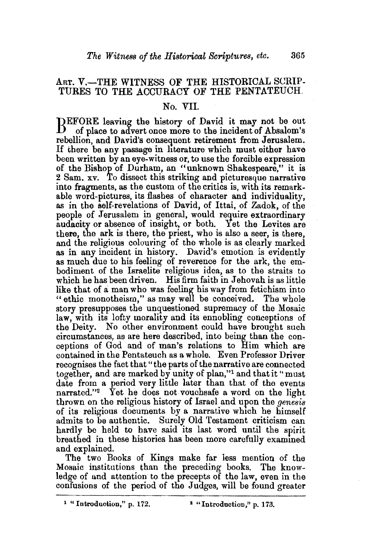## ART. V.-THE WITNESS OF THE HISTORICAL SCRIP-TURES TO THE ACCURACY OF THE PENTATEUCH.

## No. VII.

BEFORE leaving the history of David it may not be out of Absalom's of place to advert once more to the incident of Absalom's rebellion, and David's consequent retirement from Jerusalem. If there be any passage in literature which must either have been written by an eye-witness or, to use the forcible expression of the Bishop of Durham, an "unknown Shakespeare," it is 2 Sam. xv. To dissect this striking and picturesque narrative into fragments, as the custom of the critics is, with its remarkable word-pictures, its flashes of character and individuality, as in the self-revelations of David, of Ittai, of Zadok, of the people of Jerusalem in general, would require extraordinary audacity or absence of insight, or both. Yet the Levites are there, the ark is there, the priest, who is also a seer, is there, and the religious colouring of the whole is as clearly marked as in any incident in history. David's emotion is evidently as much due to his feeling of reverence for the ark, the embodiment of the Israelite religious idea, as to the straits to which he has been driven. His firm faith in Jehovah is as little like that of a man who was feeling his way from fetichism into "ethic monotheism," as may well be conceived. The whole story presupposes the unquestioned supremacy of the Mosaic law, with its lofty morality and its ennobling conceptions of the Deity. No other environment could have brought such circumstances, as are here described, into being than the conceptions of God and of man's relations to Him which are contained in the Pentateuch as a whole. Even Professor Driver recognises the fact that" the parts of the narrative are connected together, and are marked by unity of plan,"<sup>1</sup>and that it "must date from a period very little later than that of the events narrated."2 Yet he does not vouchsafe a word on the light thrown on the religious history of Israel and upon the *genesis*  of its religious documents by a narrative whtch he himself admits to be authentic. Surely Old Testament criticism can hardly be held to have said its last word until the spirit breathed in these histories has been more carefully exammed and explained.

The two Books of Kings make far less mention of the Mosaic institutions than the preceding books. The knowledge of and attention to the precepts of the law, even in the confusions of the period of the Judges, will be found greater

<sup>&</sup>lt;sup>1</sup> "Introduction," p. 172.  $\blacksquare$  "Introduction," p. 173.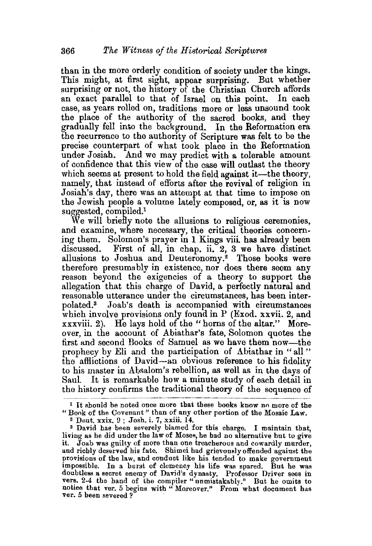than in the more orderly condition of society under the kings. This might, at first sight, appear surprising. But whether surprising or not, the history of the Christian Church affords an exact parallel to that of Israel on this point. In each case, as years rolled on, traditions more or less unsound took the place of the authority of the sacred books, and they gradually fell into the background. In the Reformation era the recurrence to the authority of Scripture was felt to be the precise counterpart of what took place in the Reformation under Josiah. And we may predict with a tolerable amount of confidence that this view of the case will outlast the theory which seems at present to hold the field against it—the theory, namely, that instead of efforts after the revival of religion in Josiah's day, there was an attempt at that time to impose on the Jewish people a volume lately composed, or, as it is now suggested, compiled.<sup>1</sup>

We will briefly note the allusions to religious ceremonies, and examine, where necessary, the critical theories concerning them. Solomon's prayer in 1 Kings viii. has already been discussed. First of all, in chap. ii. 2. 3 we have distinct First of all, in chap. ii.  $2$ , 3 we have distinct allusions to Joshua and Deuteronomy.2 Those books were therefore presumably in existence, nor does there seem any reason beyond the exigencies of a theory to support the allegation that this charge of David, a perfectly natural and reasonable utterance under the circumstances, has been interpolated.3 Joab's death is accompanied with circumstances which involve provisions only found in P (Exod. xxvii. 2, and xxxviii. 2). He lays hold of the "horns of the altar." Moreover, in the account of Abiathar's fate, Solomon quotes the first and second Books of Samuel as we have them now-the prophecy by Eli and the participation of Abiathar in "all" the afllictions of David-an obvious reference to his fidelity to his master in Absalom's rebellion, as well as in the days of Saul. It is remarkable how a minute study of each detail in the history confirms the traditional theory. of the sequence of

<sup>1</sup>It should be noted once more that these books know no more of the "Book of the Covenant" than of any other portion of the Mosaic Law.<br><sup>2</sup> Deut. xxix. 9; Josh. i. 7, xxiii. 14.

s David bas been severely blamed for this charge. I maintain that, it. Joab was guilty of more than one treacherous and cowardly murder, and richly deserved his fate. Shimei had grievously offended against the provisions of the law, and conduct like his tended to make government impossible. In a burst of clemency his life was spared. But he was doubtless a secret enemy of David's dynasty. Professor Driver sees in vers. 2-4 the hand of the compiler "unmistakably." But he omits to notice that ver. 5 begins with "Moreover." From what document has ver. 5 been severed?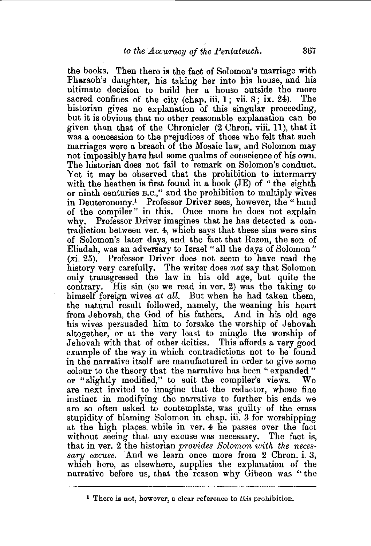the books. Then there is the fact of Solomon's marriage with Pharaoh's daughter, his taking her into his house, and his ultimate decision to build her a house outside the more sacred confines of the city (chap. iii.  $1$ ; vii.  $8$ ; ix.  $24$ ). The historian gives no explanation of this singular proceeding, but it is obvious that no other reasonable explanation can be given than that of the Chronicler (2 Chron. viii. 11 ), that it was a concession to the prejudices of those who felt that such marriages were a breach of the Mosaic law, and Solomon may not impossibly have had some qualms of conscience of his own. The historian does not fail to remark on Solomon's conduct. Yet it may be observed that the prohibition to intermarry with the heathen is first found in a book (JE) of "the eighth or ninth centuries B.c.," and the prohibition to multiply wives in Deuteronomy.<sup>1</sup> Professor Driver sees, however, the "hand of the compiler" in this. Once more he does not explain why. Professor Driver imagines that he has detected a contradiction between ver. 4, which says that these sins were sins of Solomon's later days, and the fact that Rezon, the son of Eliadah, was an adversary to Israel "all the days of Solomon" (xi. 25). Professor Driver does not seem to have read the history very carefully. The writer does *not* say that Solomon only transgressed the law in his old age, but quite the contrary. His sin (so we read in ver. 2) was the taking to himself foreign wives *at all*. But when he had taken them, the natural result followed, namely, the weaning his heart from Jehovah, the God of his fathers. And in his old age his wives persuaded him to forsake the worship of Jehovah altogether, or at the very least to mingle the worship of Jehovah with that of other deities. This affords a very good example of the way in which contradictions not to be found in the narrative itself are manufactured in order to give some colour to the theory that the narrative has been " expanded " or "slightly modified," to suit the compiler's views. We are next invited to imagine that the redactor, whose fine instinct in modifying the narrative to further his ends we are so often asked to contemplate, was guilty of the crass stupidity of blaming Solomon in chap. iii. 3 for worshipping at the high playas, while in ver. 4 he passes over the fact without seeing that any excuse was necessary. The fact is, that inver. 2 the historian *provide8 Solomon 'With the nece8 sary excuse.* And we learn once more from 2 Chron. i. 3, which here, as elsewhere, supplies the explanation of the narrative before us, that the reason why Gibeon was "the

<sup>1</sup> There is not, however, a. clear reference to *this* prohibition.